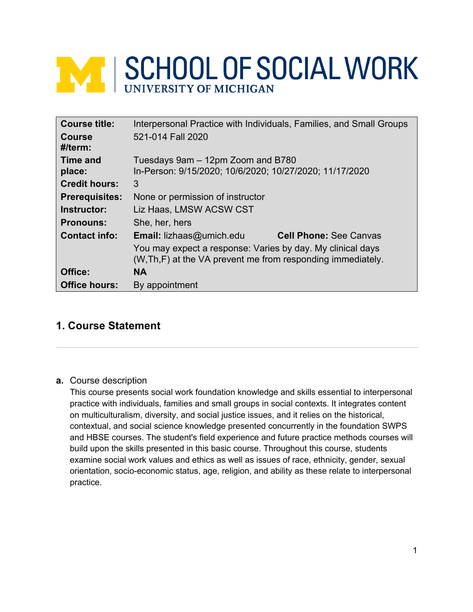# **NEW SCHOOL OF SOCIAL WORK**

| <b>Course title:</b>     | Interpersonal Practice with Individuals, Families, and Small Groups                                                        |  |  |
|--------------------------|----------------------------------------------------------------------------------------------------------------------------|--|--|
| <b>Course</b><br>#/term: | 521-014 Fall 2020                                                                                                          |  |  |
| <b>Time and</b>          | Tuesdays 9am - 12pm Zoom and B780                                                                                          |  |  |
| place:                   | In-Person: 9/15/2020; 10/6/2020; 10/27/2020; 11/17/2020                                                                    |  |  |
| <b>Credit hours:</b>     | 3                                                                                                                          |  |  |
| <b>Prerequisites:</b>    | None or permission of instructor                                                                                           |  |  |
| Instructor:              | Liz Haas, LMSW ACSW CST                                                                                                    |  |  |
| <b>Pronouns:</b>         | She, her, hers                                                                                                             |  |  |
| <b>Contact info:</b>     | <b>Email:</b> lizhaas@umich.edu<br><b>Cell Phone: See Canvas</b>                                                           |  |  |
|                          | You may expect a response: Varies by day. My clinical days<br>(W, Th, F) at the VA prevent me from responding immediately. |  |  |
| Office:                  | <b>NA</b>                                                                                                                  |  |  |
| <b>Office hours:</b>     | By appointment                                                                                                             |  |  |

# **1. Course Statement**

# **a.** Course description

This course presents social work foundation knowledge and skills essential to interpersonal practice with individuals, families and small groups in social contexts. It integrates content on multiculturalism, diversity, and social justice issues, and it relies on the historical, contextual, and social science knowledge presented concurrently in the foundation SWPS and HBSE courses. The student's field experience and future practice methods courses will build upon the skills presented in this basic course. Throughout this course, students examine social work values and ethics as well as issues of race, ethnicity, gender, sexual orientation, socio-economic status, age, religion, and ability as these relate to interpersonal practice.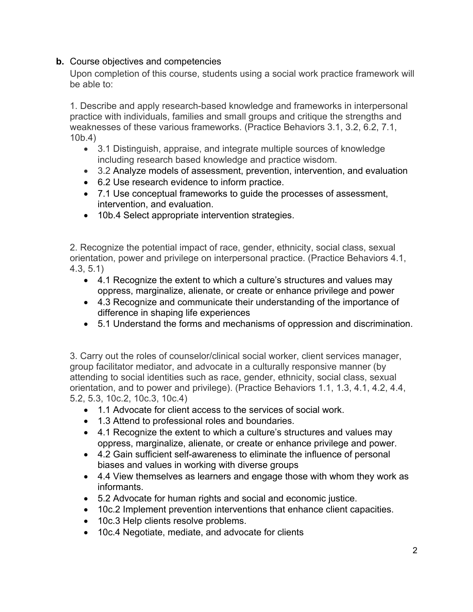# **b.** Course objectives and competencies

Upon completion of this course, students using a social work practice framework will be able to:

1. Describe and apply research-based knowledge and frameworks in interpersonal practice with individuals, families and small groups and critique the strengths and weaknesses of these various frameworks. (Practice Behaviors 3.1, 3.2, 6.2, 7.1, 10b.4)

- 3.1 Distinguish, appraise, and integrate multiple sources of knowledge including research based knowledge and practice wisdom.
- 3.2 Analyze models of assessment, prevention, intervention, and evaluation
- 6.2 Use research evidence to inform practice.
- 7.1 Use conceptual frameworks to guide the processes of assessment, intervention, and evaluation.
- 10b.4 Select appropriate intervention strategies.

2. Recognize the potential impact of race, gender, ethnicity, social class, sexual orientation, power and privilege on interpersonal practice. (Practice Behaviors 4.1, 4.3, 5.1)

- 4.1 Recognize the extent to which a culture's structures and values may oppress, marginalize, alienate, or create or enhance privilege and power
- 4.3 Recognize and communicate their understanding of the importance of difference in shaping life experiences
- 5.1 Understand the forms and mechanisms of oppression and discrimination.

3. Carry out the roles of counselor/clinical social worker, client services manager, group facilitator mediator, and advocate in a culturally responsive manner (by attending to social identities such as race, gender, ethnicity, social class, sexual orientation, and to power and privilege). (Practice Behaviors 1.1, 1.3, 4.1, 4.2, 4.4, 5.2, 5.3, 10c.2, 10c.3, 10c.4)

- 1.1 Advocate for client access to the services of social work.
- 1.3 Attend to professional roles and boundaries.
- 4.1 Recognize the extent to which a culture's structures and values may oppress, marginalize, alienate, or create or enhance privilege and power.
- 4.2 Gain sufficient self-awareness to eliminate the influence of personal biases and values in working with diverse groups
- 4.4 View themselves as learners and engage those with whom they work as informants.
- 5.2 Advocate for human rights and social and economic justice.
- 10c.2 Implement prevention interventions that enhance client capacities.
- 10c.3 Help clients resolve problems.
- 10c.4 Negotiate, mediate, and advocate for clients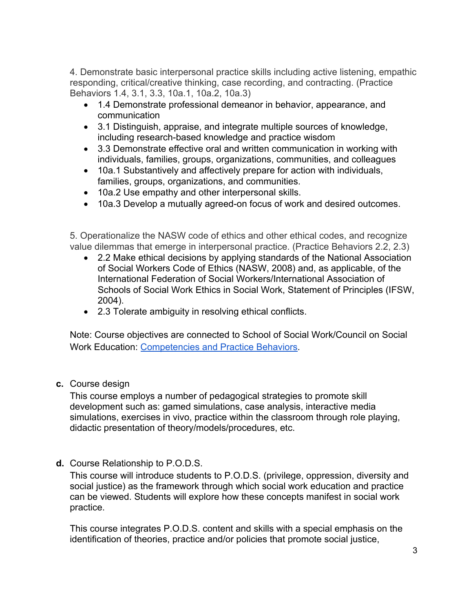4. Demonstrate basic interpersonal practice skills including active listening, empathic responding, critical/creative thinking, case recording, and contracting. (Practice Behaviors 1.4, 3.1, 3.3, 10a.1, 10a.2, 10a.3)

- 1.4 Demonstrate professional demeanor in behavior, appearance, and communication
- 3.1 Distinguish, appraise, and integrate multiple sources of knowledge, including research-based knowledge and practice wisdom
- 3.3 Demonstrate effective oral and written communication in working with individuals, families, groups, organizations, communities, and colleagues
- 10a.1 Substantively and affectively prepare for action with individuals, families, groups, organizations, and communities.
- 10a.2 Use empathy and other interpersonal skills.
- 10a.3 Develop a mutually agreed-on focus of work and desired outcomes.

5. Operationalize the NASW code of ethics and other ethical codes, and recognize value dilemmas that emerge in interpersonal practice. (Practice Behaviors 2.2, 2.3)

- 2.2 Make ethical decisions by applying standards of the National Association of Social Workers Code of Ethics (NASW, 2008) and, as applicable, of the International Federation of Social Workers/International Association of Schools of Social Work Ethics in Social Work, Statement of Principles (IFSW, 2004).
- 2.3 Tolerate ambiguity in resolving ethical conflicts.

Note: Course objectives are connected to School of Social Work/Council on Social Work Education: Competencies and Practice Behaviors.

**c.** Course design

This course employs a number of pedagogical strategies to promote skill development such as: gamed simulations, case analysis, interactive media simulations, exercises in vivo, practice within the classroom through role playing, didactic presentation of theory/models/procedures, etc.

**d.** Course Relationship to P.O.D.S.

This course will introduce students to P.O.D.S. (privilege, oppression, diversity and social justice) as the framework through which social work education and practice can be viewed. Students will explore how these concepts manifest in social work practice.

This course integrates P.O.D.S. content and skills with a special emphasis on the identification of theories, practice and/or policies that promote social justice,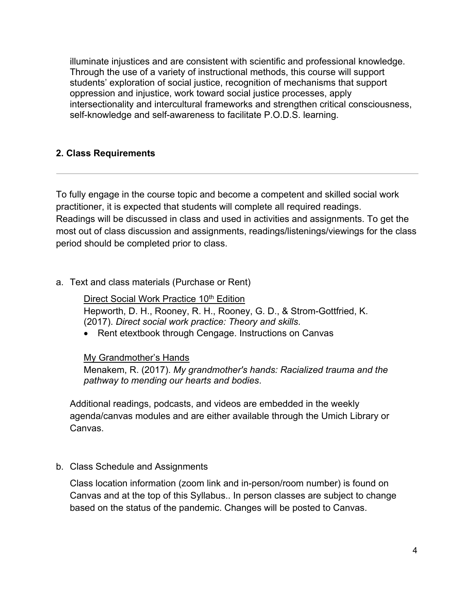illuminate injustices and are consistent with scientific and professional knowledge. Through the use of a variety of instructional methods, this course will support students' exploration of social justice, recognition of mechanisms that support oppression and injustice, work toward social justice processes, apply intersectionality and intercultural frameworks and strengthen critical consciousness, self-knowledge and self-awareness to facilitate P.O.D.S. learning.

# **2. Class Requirements**

To fully engage in the course topic and become a competent and skilled social work practitioner, it is expected that students will complete all required readings. Readings will be discussed in class and used in activities and assignments. To get the most out of class discussion and assignments, readings/listenings/viewings for the class period should be completed prior to class.

## a. Text and class materials (Purchase or Rent)

Direct Social Work Practice 10<sup>th</sup> Edition Hepworth, D. H., Rooney, R. H., Rooney, G. D., & Strom-Gottfried, K. (2017). *Direct social work practice: Theory and skills*.

• Rent etextbook through Cengage. Instructions on Canvas

#### My Grandmother's Hands

Menakem, R. (2017). *My grandmother's hands: Racialized trauma and the pathway to mending our hearts and bodies*.

Additional readings, podcasts, and videos are embedded in the weekly agenda/canvas modules and are either available through the Umich Library or Canvas.

b. Class Schedule and Assignments

Class location information (zoom link and in-person/room number) is found on Canvas and at the top of this Syllabus.. In person classes are subject to change based on the status of the pandemic. Changes will be posted to Canvas.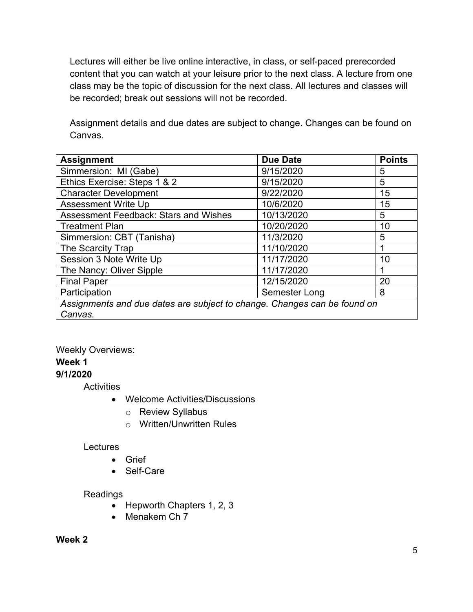Lectures will either be live online interactive, in class, or self-paced prerecorded content that you can watch at your leisure prior to the next class. A lecture from one class may be the topic of discussion for the next class. All lectures and classes will be recorded; break out sessions will not be recorded.

Assignment details and due dates are subject to change. Changes can be found on Canvas.

| <b>Assignment</b>                                                        | <b>Due Date</b> | <b>Points</b> |  |
|--------------------------------------------------------------------------|-----------------|---------------|--|
| Simmersion: MI (Gabe)                                                    | 9/15/2020       | 5             |  |
| Ethics Exercise: Steps 1 & 2                                             | 9/15/2020       | 5             |  |
| <b>Character Development</b>                                             | 9/22/2020       | 15            |  |
| <b>Assessment Write Up</b>                                               | 10/6/2020       | 15            |  |
| <b>Assessment Feedback: Stars and Wishes</b>                             | 10/13/2020      | 5             |  |
| <b>Treatment Plan</b>                                                    | 10/20/2020      | 10            |  |
| Simmersion: CBT (Tanisha)                                                | 11/3/2020       | 5             |  |
| The Scarcity Trap                                                        | 11/10/2020      |               |  |
| Session 3 Note Write Up                                                  | 11/17/2020      | 10            |  |
| The Nancy: Oliver Sipple                                                 | 11/17/2020      |               |  |
| <b>Final Paper</b>                                                       | 12/15/2020      | 20            |  |
| Participation                                                            | Semester Long   | 8             |  |
| Assignments and due dates are subject to change. Changes can be found on |                 |               |  |
| Canvas.                                                                  |                 |               |  |

# Weekly Overviews: **Week 1 9/1/2020**

**Activities** 

- Welcome Activities/Discussions
	- o Review Syllabus
	- o Written/Unwritten Rules

#### Lectures

- Grief
- Self-Care

#### Readings

- Hepworth Chapters 1, 2, 3
- Menakem Ch 7

## **Week 2**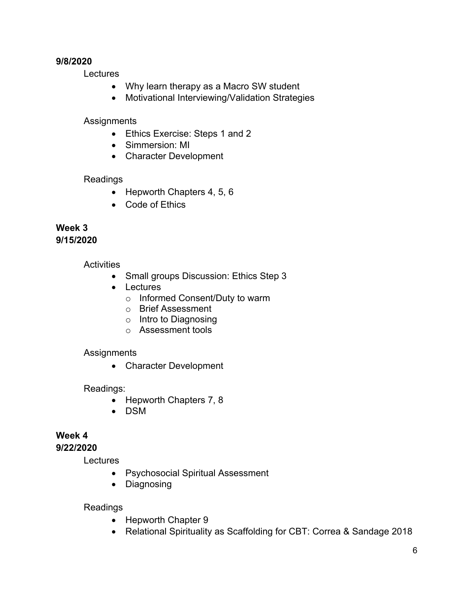#### **9/8/2020**

Lectures

- Why learn therapy as a Macro SW student
- Motivational Interviewing/Validation Strategies

# **Assignments**

- Ethics Exercise: Steps 1 and 2
- Simmersion: MI
- Character Development

# Readings

- Hepworth Chapters 4, 5, 6
- Code of Ethics

# **Week 3 9/15/2020**

# **Activities**

- Small groups Discussion: Ethics Step 3
- Lectures
	- o Informed Consent/Duty to warm
	- o Brief Assessment
	- o Intro to Diagnosing
	- o Assessment tools

# **Assignments**

• Character Development

# Readings:

- Hepworth Chapters 7, 8
- DSM

# **Week 4**

# **9/22/2020**

**Lectures** 

- Psychosocial Spiritual Assessment
- Diagnosing

# Readings

- Hepworth Chapter 9
- Relational Spirituality as Scaffolding for CBT: Correa & Sandage 2018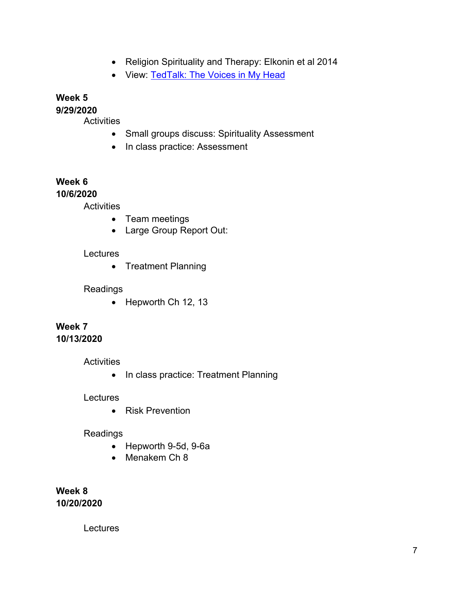- Religion Spirituality and Therapy: Elkonin et al 2014
- View: TedTalk: The Voices in My Head

# **Week 5**

**9/29/2020**

**Activities** 

- Small groups discuss: Spirituality Assessment
- In class practice: Assessment

# **Week 6**

## **10/6/2020**

**Activities** 

- Team meetings
- Large Group Report Out:

# Lectures

• Treatment Planning

## Readings

• Hepworth Ch 12, 13

# **Week 7 10/13/2020**

#### **Activities**

• In class practice: Treatment Planning

#### **Lectures**

• Risk Prevention

## Readings

- Hepworth 9-5d, 9-6a
- Menakem Ch 8

**Week 8 10/20/2020**

**Lectures**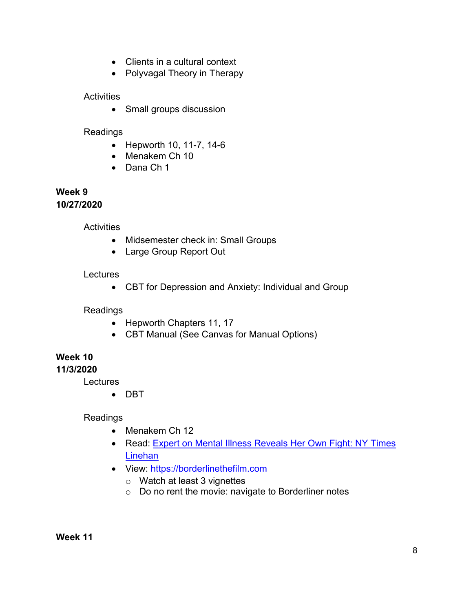- Clients in a cultural context
- Polyvagal Theory in Therapy

# **Activities**

• Small groups discussion

# Readings

- Hepworth 10, 11-7, 14-6
- Menakem Ch 10
- Dana Ch 1

#### **Week 9 10/27/2020**

**Activities** 

- Midsemester check in: Small Groups
- Large Group Report Out

# **Lectures**

• CBT for Depression and Anxiety: Individual and Group

Readings

- Hepworth Chapters 11, 17
- CBT Manual (See Canvas for Manual Options)

# **Week 10**

**11/3/2020**

Lectures

• DBT

Readings

- Menakem Ch 12
- Read: Expert on Mental Illness Reveals Her Own Fight: NY Times Linehan
- View: https://borderlinethefilm.com
	- o Watch at least 3 vignettes
	- o Do no rent the movie: navigate to Borderliner notes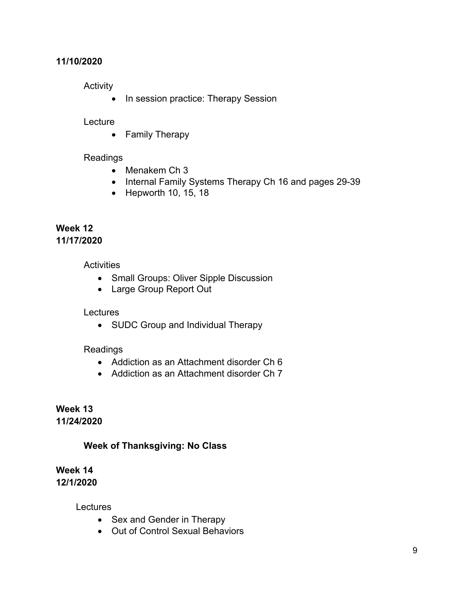# **11/10/2020**

**Activity** 

• In session practice: Therapy Session

# **Lecture**

• Family Therapy

# Readings

- Menakem Ch 3
- Internal Family Systems Therapy Ch 16 and pages 29-39
- Hepworth 10, 15, 18

# **Week 12 11/17/2020**

**Activities** 

- Small Groups: Oliver Sipple Discussion
- Large Group Report Out

# Lectures

• SUDC Group and Individual Therapy

# Readings

- Addiction as an Attachment disorder Ch 6
- Addiction as an Attachment disorder Ch 7

**Week 13 11/24/2020**

# **Week of Thanksgiving: No Class**

**Week 14 12/1/2020**

**Lectures** 

- Sex and Gender in Therapy
- Out of Control Sexual Behaviors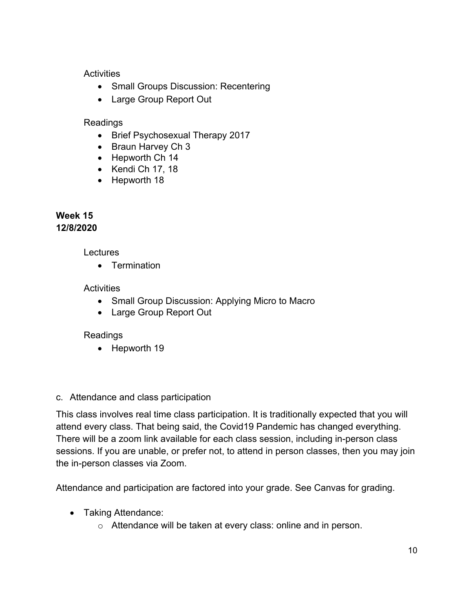# **Activities**

- Small Groups Discussion: Recentering
- Large Group Report Out

# Readings

- Brief Psychosexual Therapy 2017
- Braun Harvey Ch 3
- Hepworth Ch 14
- Kendi Ch 17, 18
- Hepworth 18

# **Week 15 12/8/2020**

# Lectures

• Termination

# **Activities**

- Small Group Discussion: Applying Micro to Macro
- Large Group Report Out

# Readings

• Hepworth 19

# c. Attendance and class participation

This class involves real time class participation. It is traditionally expected that you will attend every class. That being said, the Covid19 Pandemic has changed everything. There will be a zoom link available for each class session, including in-person class sessions. If you are unable, or prefer not, to attend in person classes, then you may join the in-person classes via Zoom.

Attendance and participation are factored into your grade. See Canvas for grading.

- Taking Attendance:
	- o Attendance will be taken at every class: online and in person.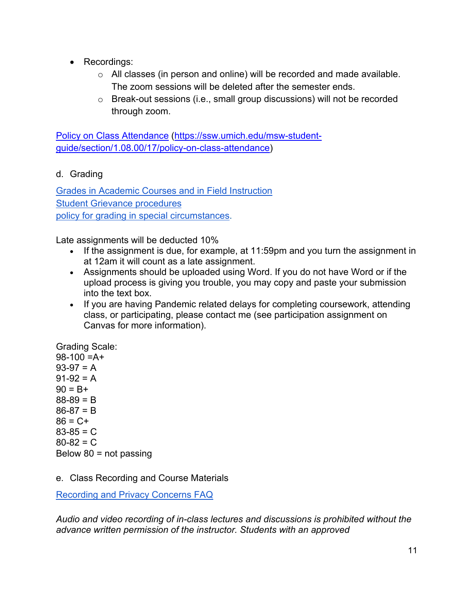- Recordings:
	- o All classes (in person and online) will be recorded and made available. The zoom sessions will be deleted after the semester ends.
	- o Break-out sessions (i.e., small group discussions) will not be recorded through zoom.

Policy on Class Attendance (https://ssw.umich.edu/msw-studentguide/section/1.08.00/17/policy-on-class-attendance)

d. Grading

Grades in Academic Courses and in Field Instruction Student Grievance procedures policy for grading in special circumstances.

Late assignments will be deducted 10%

- If the assignment is due, for example, at 11:59pm and you turn the assignment in at 12am it will count as a late assignment.
- Assignments should be uploaded using Word. If you do not have Word or if the upload process is giving you trouble, you may copy and paste your submission into the text box.
- If you are having Pandemic related delays for completing coursework, attending class, or participating, please contact me (see participation assignment on Canvas for more information).

Grading Scale:  $98-100 = A +$  $93-97 = A$  $91-92 = A$  $90 = B +$  $88-89 = B$  $86-87 = B$  $86 = C +$  $83-85 = C$  $80 - 82 = C$ Below  $80$  = not passing

e. Class Recording and Course Materials

Recording and Privacy Concerns FAQ

*Audio and video recording of in-class lectures and discussions is prohibited without the advance written permission of the instructor. Students with an approved*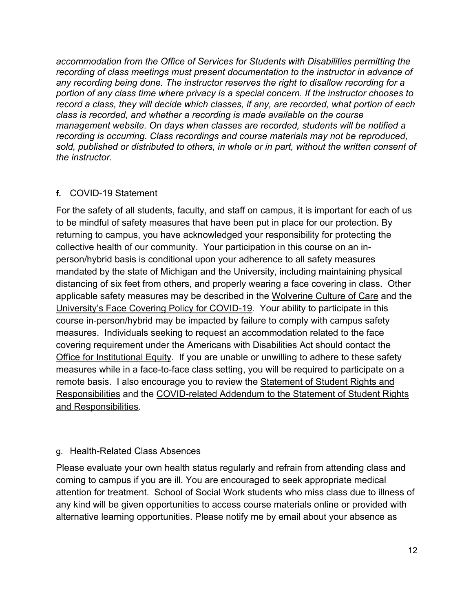*accommodation from the Office of Services for Students with Disabilities permitting the recording of class meetings must present documentation to the instructor in advance of any recording being done. The instructor reserves the right to disallow recording for a portion of any class time where privacy is a special concern. If the instructor chooses to record a class, they will decide which classes, if any, are recorded, what portion of each class is recorded, and whether a recording is made available on the course management website. On days when classes are recorded, students will be notified a recording is occurring. Class recordings and course materials may not be reproduced, sold, published or distributed to others, in whole or in part, without the written consent of the instructor.*

# **f.** COVID-19 Statement

For the safety of all students, faculty, and staff on campus, it is important for each of us to be mindful of safety measures that have been put in place for our protection. By returning to campus, you have acknowledged your responsibility for protecting the collective health of our community. Your participation in this course on an inperson/hybrid basis is conditional upon your adherence to all safety measures mandated by the state of Michigan and the University, including maintaining physical distancing of six feet from others, and properly wearing a face covering in class. Other applicable safety measures may be described in the Wolverine Culture of Care and the University's Face Covering Policy for COVID-19. Your ability to participate in this course in-person/hybrid may be impacted by failure to comply with campus safety measures. Individuals seeking to request an accommodation related to the face covering requirement under the Americans with Disabilities Act should contact the Office for Institutional Equity. If you are unable or unwilling to adhere to these safety measures while in a face-to-face class setting, you will be required to participate on a remote basis. I also encourage you to review the Statement of Student Rights and Responsibilities and the COVID-related Addendum to the Statement of Student Rights and Responsibilities.

#### g. Health-Related Class Absences

Please evaluate your own health status regularly and refrain from attending class and coming to campus if you are ill. You are encouraged to seek appropriate medical attention for treatment. School of Social Work students who miss class due to illness of any kind will be given opportunities to access course materials online or provided with alternative learning opportunities. Please notify me by email about your absence as